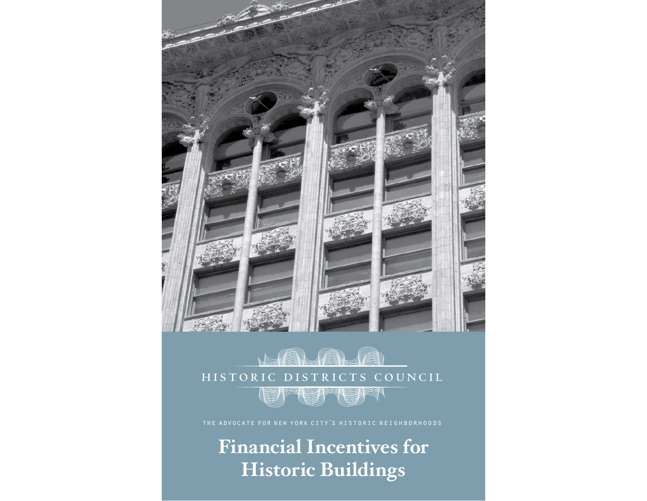



the advocate for new york city's historic neighborhoods

**Financial Incentives for Historic Buildings**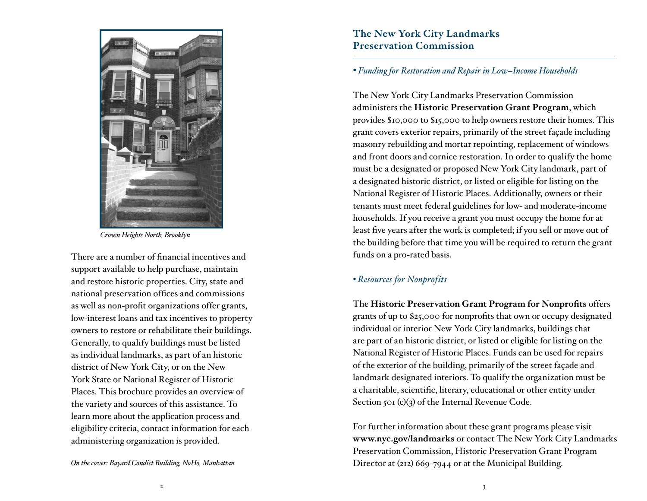

*Crown Heights North, Brooklyn* 

There are a number of financial incentives and support available to help purchase, maintain and restore historic properties. City, state and national preservation offices and commissions as well as non-profit organizations offer grants, low-interest loans and tax incentives to property owners to restore or rehabilitate their buildings. Generally, to qualify buildings must be listed as individual landmarks, as part of an historic district of New York City, or on the New York State or National Register of Historic Places. This brochure provides an overview of the variety and sources of this assistance. To learn more about the application process and eligibility criteria, contact information for each administering organization is provided.

# **The New York City Landmarks Preservation Commission**

## *• Funding for Restoration and Repair in Low–Income Households*

The New York City Landmarks Preservation Commission administers the **Historic Preservation Grant Program**, which provides \$10,000 to \$15,000 to help owners restore their homes. This grant covers exterior repairs, primarily of the street façade including masonry rebuilding and mortar repointing, replacement of windows and front doors and cornice restoration. In order to qualify the home must be a designated or proposed New York City landmark, part of a designated historic district, or listed or eligible for listing on the National Register of Historic Places. Additionally, owners or their tenants must meet federal guidelines for low- and moderate-income households. If you receive a grant you must occupy the home for at least five years after the work is completed; if you sell or move out of the building before that time you will be required to return the grant funds on a pro-rated basis.

## *• Resources for Nonprofits*

The Historic Preservation Grant Program for Nonprofits offers grants of up to \$25,000 for nonprofits that own or occupy designated individual or interior New York City landmarks, buildings that are part of an historic district, or listed or eligible for listing on the National Register of Historic Places. Funds can be used for repairs of the exterior of the building, primarily of the street façade and landmark designated interiors. To qualify the organization must be a charitable, scientific, literary, educational or other entity under Section 501 (c)(3) of the Internal Revenue Code.

For further information about these grant programs please visit **www.nyc.gov/landmarks** or contact The New York City Landmarks Preservation Commission, Historic Preservation Grant Program *On the cover: Bayard Condict Building, NoHo, Manhattan* Director at (212) 669-7944 or at the Municipal Building.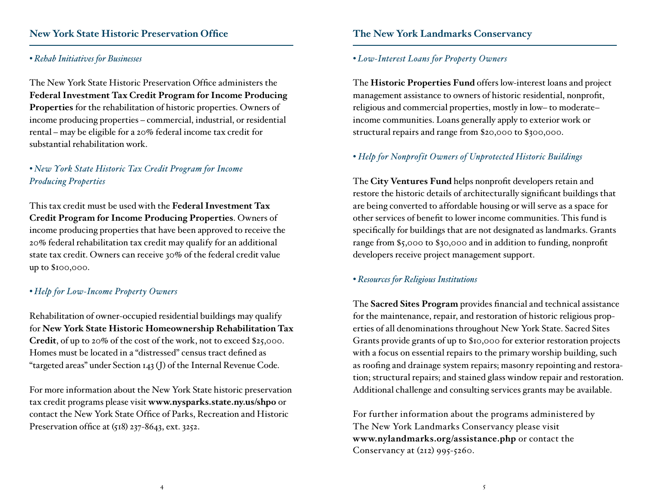# **New York State Historic Preservation Office**

### *• Rehab Initiatives for Businesses*

The New York State Historic Preservation Office administers the **Federal Investment Tax Credit Program for Income Producing Properties** for the rehabilitation of historic properties. Owners of income producing properties – commercial, industrial, or residential rental – may be eligible for a 20% federal income tax credit for substantial rehabilitation work.

## *• New York State Historic Tax Credit Program for Income Producing Properties*

This tax credit must be used with the **Federal Investment Tax Credit Program for Income Producing Properties**. Owners of income producing properties that have been approved to receive the 20% federal rehabilitation tax credit may qualify for an additional state tax credit. Owners can receive 30% of the federal credit value up to \$100,000.

### *• Help for Low-Income Property Owners*

Rehabilitation of owner-occupied residential buildings may qualify for **New York State Historic Homeownership Rehabilitation Tax Credit**, of up to 20% of the cost of the work, not to exceed \$25,000. Homes must be located in a "distressed" census tract defined as "targeted areas" under Section 143 (J) of the Internal Revenue Code.

For more information about the New York State historic preservation tax credit programs please visit **www.nysparks.state.ny.us/shpo** or contact the New York State Office of Parks, Recreation and Historic Preservation office at  $(518)$  237-8643, ext. 3252.

## **The New York Landmarks Conservancy**

### *• Low-Interest Loans for Property Owners*

The **Historic Properties Fund** offers low-interest loans and project management assistance to owners of historic residential, nonprofit, religious and commercial properties, mostly in low– to moderate– income communities. Loans generally apply to exterior work or structural repairs and range from \$20,000 to \$300,000.

## *• Help for Nonprofit Owners of Unprotected Historic Buildings*

The City Ventures Fund helps nonprofit developers retain and restore the historic details of architecturally significant buildings that are being converted to affordable housing or will serve as a space for other services of benefit to lower income communities. This fund is specifically for buildings that are not designated as landmarks. Grants range from \$5,000 to \$30,000 and in addition to funding, nonprofit developers receive project management support.

### *• Resources for Religious Institutions*

The **Sacred Sites Program** provides financial and technical assistance for the maintenance, repair, and restoration of historic religious properties of all denominations throughout New York State. Sacred Sites Grants provide grants of up to \$10,000 for exterior restoration projects with a focus on essential repairs to the primary worship building, such as roofing and drainage system repairs; masonry repointing and restoration; structural repairs; and stained glass window repair and restoration. Additional challenge and consulting services grants may be available.

For further information about the programs administered by The New York Landmarks Conservancy please visit **www.nylandmarks.org/assistance.php** or contact the Conservancy at (212) 995-5260.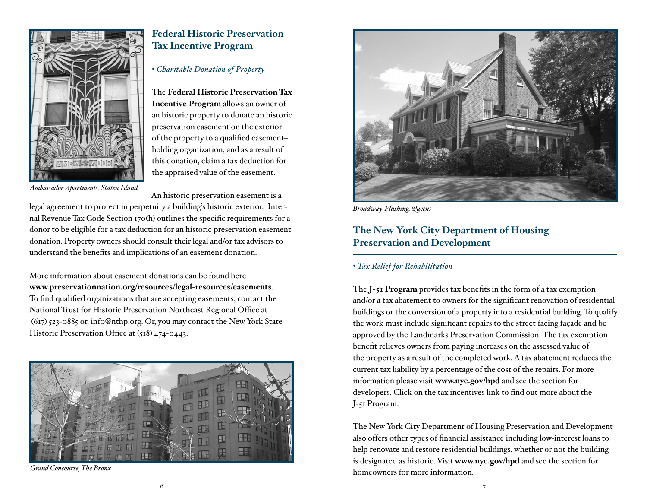

*Ambassador Apartments, Staten Island*

# **Federal Historic Preservation Tax Incentive Program**

### *• Charitable Donation of Property*

The **Federal Historic Preservation Tax Incentive Program** allows an owner of an historic property to donate an historic preservation easement on the exterior of the property to a qualified easementholding organization, and as a result of this donation, claim a tax deduction for the appraised value of the easement.

An historic preservation easement is a

legal agreement to protect in perpetuity a building's historic exterior. Internal Revenue Tax Code Section 170(h) outlines the specific requirements for a donor to be eligible for a tax deduction for an historic preservation easement donation. Property owners should consult their legal and/or tax advisors to understand the benefits and implications of an easement donation.

More information about easement donations can be found here **www.preservationnation.org/resources/legal-resources/easements**. To find qualified organizations that are accepting easements, contact the National Trust for Historic Preservation Northeast Regional Office at (617) 523-0885 or, inf0@nthp.org. Or, you may contact the New York State Historic Preservation Office at  $(518)$  474-0443.



*Grand Concourse, The Bronx* 



*Broadway-Flushing, Queens*

# **The New York City Department of Housing Preservation and Development**

#### *• Tax Relief for Rehabilitation*

The **J-51 Program** provides tax benefits in the form of a tax exemption and/or a tax abatement to owners for the significant renovation of residential buildings or the conversion of a property into a residential building. To qualify the work must include significant repairs to the street facing façade and be approved by the Landmarks Preservation Commission. The tax exemption benefit relieves owners from paying increases on the assessed value of the property as a result of the completed work. A tax abatement reduces the current tax liability by a percentage of the cost of the repairs. For more information please visit **www.nyc.gov/hpd** and see the section for developers. Click on the tax incentives link to find out more about the J-51 Program.

The New York City Department of Housing Preservation and Development also offers other types of financial assistance including low-interest loans to help renovate and restore residential buildings, whether or not the building is designated as historic. Visit **www.nyc.gov/hpd** and see the section for homeowners for more information.